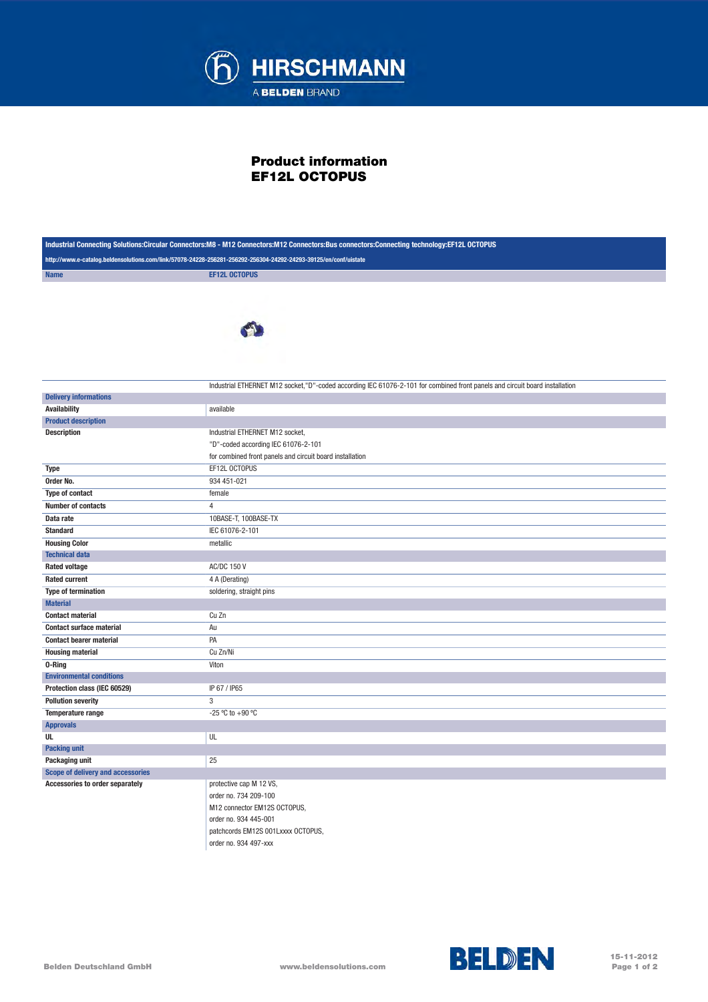

## Product information EF12L OCTOPUS

| Industrial Connecting Solutions:Circular Connectors:M8 - M12 Connectors:M12 Connectors:Bus connectors:Connecting technology:EF12L OCTOPUS |                                                                                                                             |
|-------------------------------------------------------------------------------------------------------------------------------------------|-----------------------------------------------------------------------------------------------------------------------------|
| http://www.e-catalog.beldensolutions.com/link/57078-24228-256281-256292-256304-24292-24293-39125/en/conf/uistate                          |                                                                                                                             |
| <b>Name</b>                                                                                                                               | <b>EF12L OCTOPUS</b>                                                                                                        |
|                                                                                                                                           |                                                                                                                             |
|                                                                                                                                           | Industrial ETHERNET M12 socket,"D"-coded according IEC 61076-2-101 for combined front panels and circuit board installation |
| <b>Delivery informations</b>                                                                                                              |                                                                                                                             |
| <b>Availability</b>                                                                                                                       | available                                                                                                                   |
| <b>Product description</b>                                                                                                                |                                                                                                                             |
| <b>Description</b>                                                                                                                        | Industrial ETHERNET M12 socket,                                                                                             |
|                                                                                                                                           | "D"-coded according IEC 61076-2-101                                                                                         |
|                                                                                                                                           | for combined front panels and circuit board installation                                                                    |
| <b>Type</b>                                                                                                                               | EF12L OCTOPUS                                                                                                               |
| Order No.                                                                                                                                 | 934 451-021                                                                                                                 |
| Type of contact                                                                                                                           | female                                                                                                                      |
| Number of contacts                                                                                                                        | $\overline{4}$                                                                                                              |
| Data rate                                                                                                                                 | 10BASE-T, 100BASE-TX                                                                                                        |
| <b>Standard</b>                                                                                                                           | IEC 61076-2-101                                                                                                             |
| <b>Housing Color</b>                                                                                                                      | metallic                                                                                                                    |
| <b>Technical data</b>                                                                                                                     |                                                                                                                             |
| <b>Rated voltage</b>                                                                                                                      | <b>AC/DC 150 V</b>                                                                                                          |
| <b>Rated current</b>                                                                                                                      | 4 A (Derating)                                                                                                              |
| <b>Type of termination</b>                                                                                                                | soldering, straight pins                                                                                                    |
| <b>Material</b>                                                                                                                           |                                                                                                                             |
| <b>Contact material</b>                                                                                                                   | Cu Zn                                                                                                                       |
| <b>Contact surface material</b>                                                                                                           | Au                                                                                                                          |
| <b>Contact bearer material</b>                                                                                                            | PA                                                                                                                          |
| <b>Housing material</b>                                                                                                                   | Cu Zn/Ni                                                                                                                    |
| 0-Ring                                                                                                                                    | Viton                                                                                                                       |
| <b>Environmental conditions</b>                                                                                                           |                                                                                                                             |
| Protection class (IEC 60529)                                                                                                              | IP 67 / IP65                                                                                                                |
| <b>Pollution severity</b>                                                                                                                 | 3                                                                                                                           |
| Temperature range                                                                                                                         | -25 °C to +90 °C                                                                                                            |
| <b>Approvals</b>                                                                                                                          |                                                                                                                             |
| UL                                                                                                                                        | UL                                                                                                                          |
| <b>Packing unit</b>                                                                                                                       |                                                                                                                             |
| Packaging unit                                                                                                                            | 25                                                                                                                          |
| Scope of delivery and accessories                                                                                                         |                                                                                                                             |
| Accessories to order separately                                                                                                           | protective cap M 12 VS,                                                                                                     |
|                                                                                                                                           | order no. 734 209-100                                                                                                       |
|                                                                                                                                           | M12 connector EM12S OCTOPUS,                                                                                                |
|                                                                                                                                           | order no. 934 445-001                                                                                                       |
|                                                                                                                                           | patchcords EM12S 001Lxxxx OCTOPUS,                                                                                          |

order no. 934 497-xxx